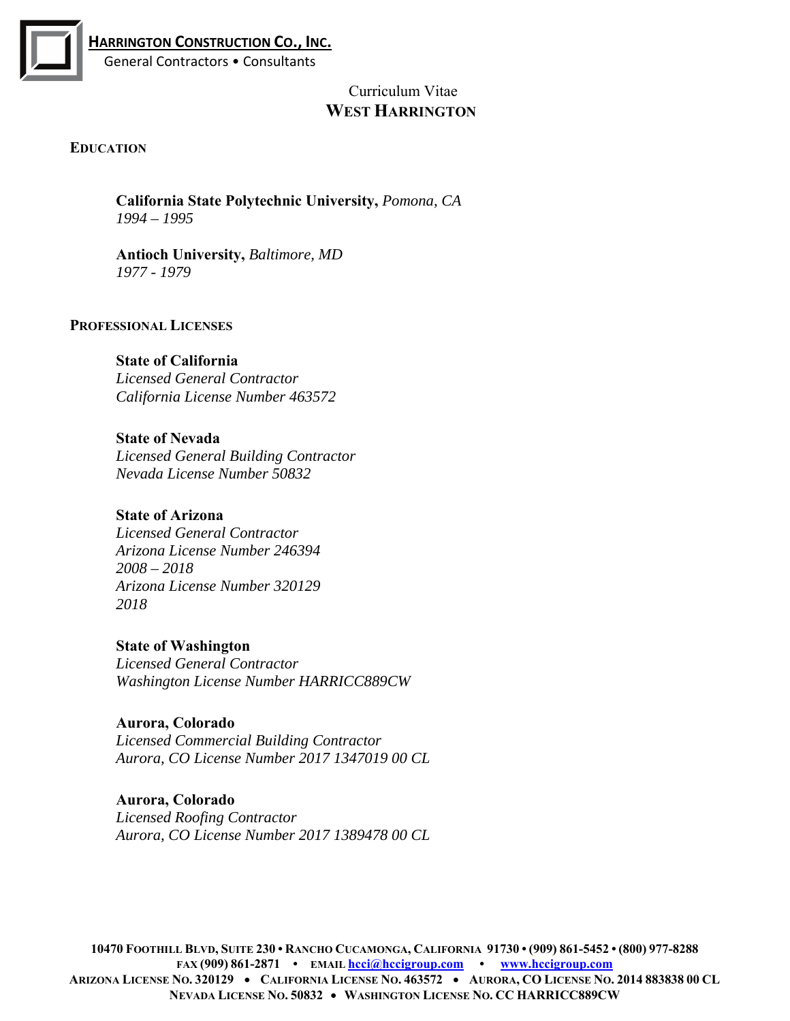

# Curriculum Vitae  **WEST HARRINGTON**

# **EDUCATION**

**California State Polytechnic University,** *Pomona, CA 1994 – 1995* 

**Antioch University,** *Baltimore, MD 1977 - 1979* 

#### **PROFESSIONAL LICENSES**

**State of California**  *Licensed General Contractor California License Number 463572* 

**State of Nevada**  *Licensed General Building Contractor Nevada License Number 50832* 

**State of Arizona**  *Licensed General Contractor Arizona License Number 246394 2008 – 2018 Arizona License Number 320129 2018* 

**State of Washington**  *Licensed General Contractor Washington License Number HARRICC889CW* 

**Aurora, Colorado**  *Licensed Commercial Building Contractor Aurora, CO License Number 2017 1347019 00 CL* 

**Aurora, Colorado**  *Licensed Roofing Contractor Aurora, CO License Number 2017 1389478 00 CL*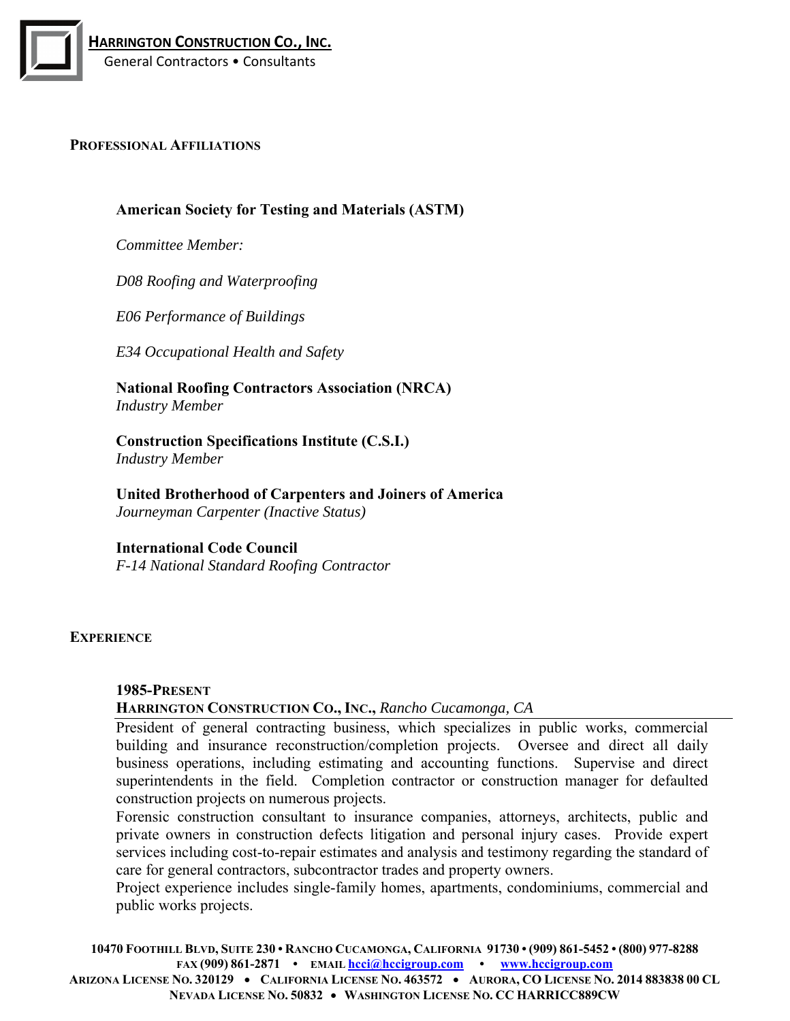

#### **PROFESSIONAL AFFILIATIONS**

# **American Society for Testing and Materials (ASTM)**

*Committee Member:* 

*D08 Roofing and Waterproofing* 

*E06 Performance of Buildings* 

*E34 Occupational Health and Safety* 

**National Roofing Contractors Association (NRCA)**  *Industry Member* 

**Construction Specifications Institute (C.S.I.)**  *Industry Member* 

**United Brotherhood of Carpenters and Joiners of America**  *Journeyman Carpenter (Inactive Status)* 

#### **International Code Council**

*F-14 National Standard Roofing Contractor* 

#### **EXPERIENCE**

#### **1985-PRESENT**

#### **HARRINGTON CONSTRUCTION CO., INC.,** *Rancho Cucamonga, CA*

President of general contracting business, which specializes in public works, commercial building and insurance reconstruction/completion projects. Oversee and direct all daily business operations, including estimating and accounting functions. Supervise and direct superintendents in the field. Completion contractor or construction manager for defaulted construction projects on numerous projects.

Forensic construction consultant to insurance companies, attorneys, architects, public and private owners in construction defects litigation and personal injury cases. Provide expert services including cost-to-repair estimates and analysis and testimony regarding the standard of care for general contractors, subcontractor trades and property owners.

Project experience includes single-family homes, apartments, condominiums, commercial and public works projects.

**10470 FOOTHILL BLVD, SUITE 230 • RANCHO CUCAMONGA, CALIFORNIA 91730 • (909) 861-5452 • (800) 977-8288 FAX (909) 861-2871 • EMAIL hcci@hccigroup.com • www.hccigroup.com**

**ARIZONA LICENSE NO. 320129 CALIFORNIA LICENSE NO. 463572 AURORA, CO LICENSE NO. 2014 883838 00 CL NEVADA LICENSE NO. 50832 WASHINGTON LICENSE NO. CC HARRICC889CW**